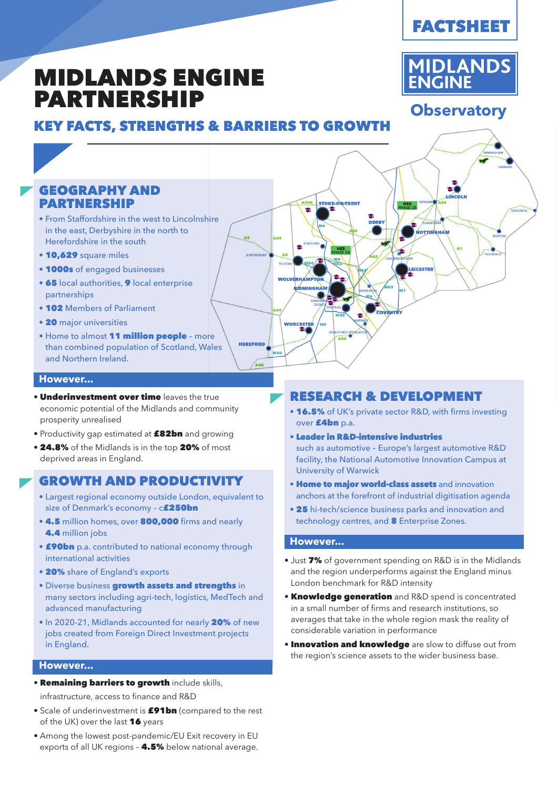**MIDLANDS** 

**ENGINE** 

**Observatory**

# MIDLANDS ENGINE PARTNERSHIP

# KEY FACTS, STRENGTHS & BARRIERS TO GROWTH



### **However...**

- Underinvestment over time leaves the true economic potential of the Midlands and community prosperity unrealised
- Productivity gap estimated at £82bn and growing
- 24.8% of the Midlands is in the top 20% of most deprived areas in England.

## GROWTH AND PRODUCTIVITY

- Largest regional economy outside London, equivalent to size of Denmark's economy - c**£250bn**
- 4.5 million homes, over 800,000 firms and nearly 4.4 million jobs
- **£90bn** p.a. contributed to national economy through international activities
- 20% share of England's exports
- Diverse business growth assets and strengths in many sectors including agri-tech, logistics, MedTech and advanced manufacturing
- In 2020-21, Midlands accounted for nearly 20% of new jobs created from Foreign Direct Investment projects in England.

#### **However...**

• Remaining barriers to growth include skills,

infrastructure, access to finance and R&D

- Scale of underinvestment is £91bn (compared to the rest of the UK) over the last  $16$  years
- Among the lowest post-pandemic/EU Exit recovery in EU exports of all UK regions - 4.5% below national average.

## RESEARCH & DEVELOPMENT

- 16.5% of UK's private sector R&D, with firms investing over £4bn p.a.
- Leader in R&D-intensive industries such as automotive – Europe's largest automotive R&D facility, the National Automotive Innovation Campus at University of Warwick
- **Home to major world-class assets** and innovation anchors at the forefront of industrial digitisation agenda
- 25 hi-tech/science business parks and innovation and technology centres, and 8 Enterprise Zones.

#### **However...**

- Just 7% of government spending on R&D is in the Midlands and the region underperforms against the England minus London benchmark for R&D intensity
- Knowledge generation and R&D spend is concentrated in a small number of firms and research institutions, so averages that take in the whole region mask the reality of considerable variation in performance
- **Innovation and knowledge** are slow to diffuse out from the region's science assets to the wider business base.